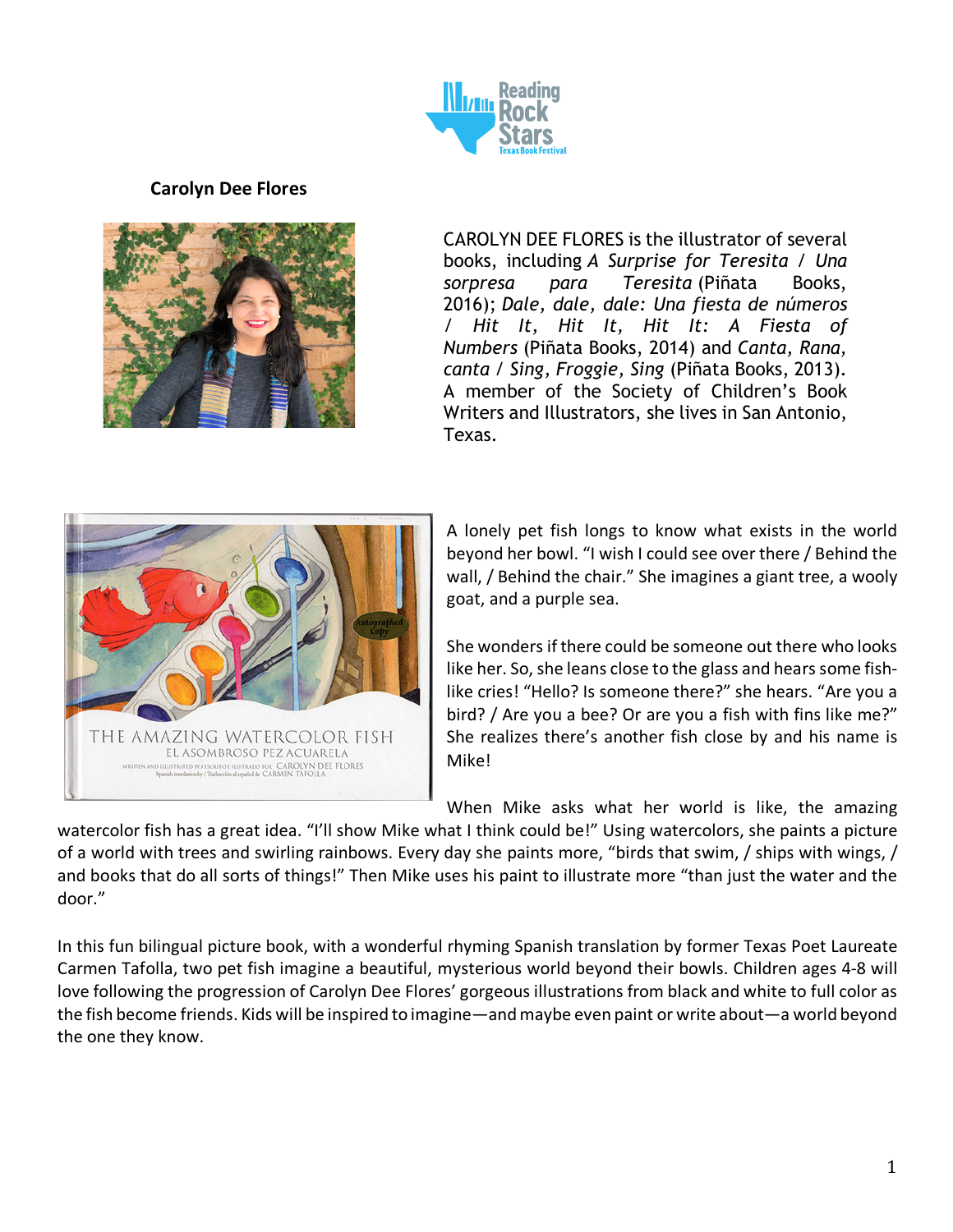

## **Carolyn Dee Flores**



CAROLYN DEE FLORES is the illustrator of several books, including *A Surprise for Teresita / Una sorpresa para Teresita* (Piñata Books, 2016); *Dale, dale, dale: Una fiesta de números / Hit It, Hit It, Hit It: A Fiesta of Numbers* (Piñata Books, 2014) and *Canta, Rana, canta / Sing, Froggie, Sing* (Piñata Books, 2013). A member of the Society of Children's Book Writers and Illustrators, she lives in San Antonio, Texas.



A lonely pet fish longs to know what exists in the world beyond her bowl. "I wish I could see over there / Behind the wall, / Behind the chair." She imagines a giant tree, a wooly goat, and a purple sea.

She wonders if there could be someone out there who looks like her. So, she leans close to the glass and hears some fishlike cries! "Hello? Is someone there?" she hears. "Are you a bird? / Are you a bee? Or are you a fish with fins like me?" She realizes there's another fish close by and his name is Mike!

When Mike asks what her world is like, the amazing

watercolor fish has a great idea. "I'll show Mike what I think could be!" Using watercolors, she paints a picture of a world with trees and swirling rainbows. Every day she paints more, "birds that swim, / ships with wings, / and books that do all sorts of things!" Then Mike uses his paint to illustrate more "than just the water and the door." she lives in San Antonio,

In this fun bilingual picture book, with a wonderful rhyming Spanish translation by former Texas Poet Laureate Carmen Tafolla, two pet fish imagine a beautiful, mysterious world beyond their bowls. Children ages 4-8 will love following the progression of Carolyn Dee Flores' gorgeous illustrations from black and white to full color as *for Teresita / Una sorpresa*  the fish become friends. Kids will be inspired to imagine—and maybe even paint or write about—a world beyond *para Teresita* (Piñata Books, the one they know. *fiesta de números / Hit It,*  2016); *Dale, dale, dale: Una*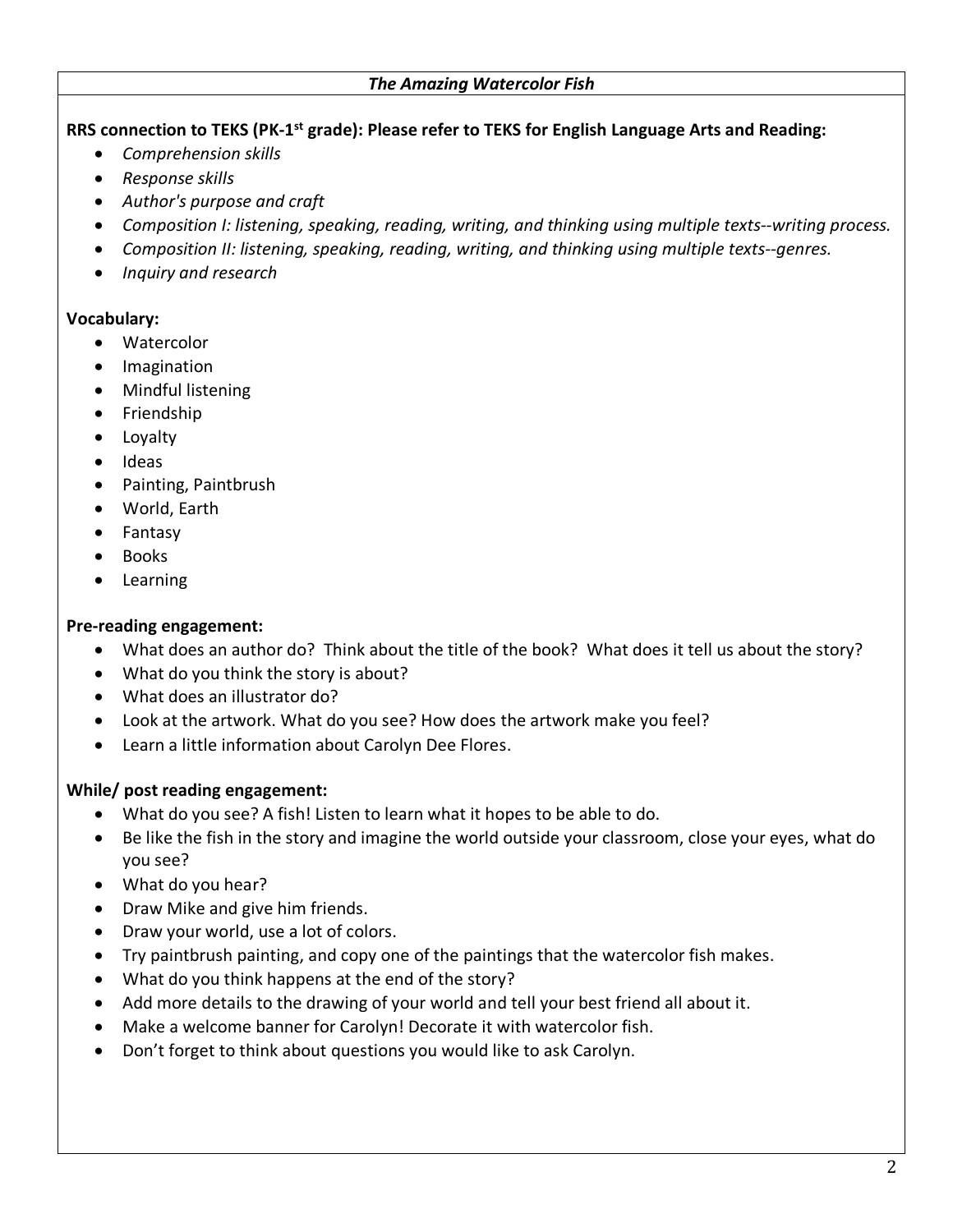#### *The Amazing Watercolor Fish*

**RRS connection to TEKS (PK-1st grade): Please refer to TEKS for English Language Arts and Reading:**

- *Comprehension skills*
- *Response skills*
- *Author's purpose and craft*
- *Composition I: listening, speaking, reading, writing, and thinking using multiple texts--writing process.*
- *Composition II: listening, speaking, reading, writing, and thinking using multiple texts--genres.*
- *Inquiry and research*

#### **Vocabulary:**

- Watercolor
- Imagination
- Mindful listening
- Friendship
- Loyalty
- Ideas
- Painting, Paintbrush
- World, Earth
- Fantasy
- Books
- Learning

### **Pre-reading engagement:**

- What does an author do? Think about the title of the book? What does it tell us about the story?
- What do you think the story is about?
- What does an illustrator do?
- Look at the artwork. What do you see? How does the artwork make you feel?
- Learn a little information about Carolyn Dee Flores.

### **While/ post reading engagement:**

- What do you see? A fish! Listen to learn what it hopes to be able to do.
- Be like the fish in the story and imagine the world outside your classroom, close your eyes, what do you see?
- What do you hear?
- Draw Mike and give him friends.
- Draw your world, use a lot of colors.
- Try paintbrush painting, and copy one of the paintings that the watercolor fish makes.
- What do you think happens at the end of the story?
- Add more details to the drawing of your world and tell your best friend all about it.
- Make a welcome banner for Carolyn! Decorate it with watercolor fish.
- Don't forget to think about questions you would like to ask Carolyn.